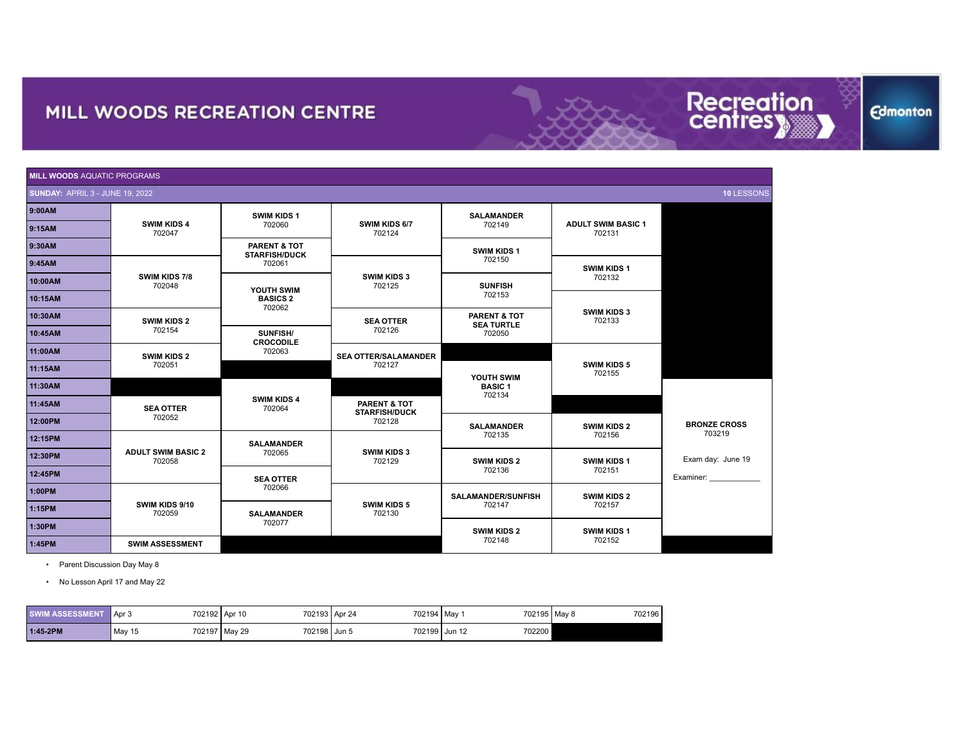| <b>MILL WOODS AQUATIC PROGRAMS</b>     |                                     |                                      |                                                 |                                   |                                     |                     |  |
|----------------------------------------|-------------------------------------|--------------------------------------|-------------------------------------------------|-----------------------------------|-------------------------------------|---------------------|--|
| <b>SUNDAY: APRIL 3 - JUNE 19, 2022</b> |                                     |                                      |                                                 |                                   |                                     | 10 LESSONS          |  |
| 9:00AM                                 |                                     | <b>SWIM KIDS 1</b>                   |                                                 | <b>SALAMANDER</b>                 |                                     |                     |  |
| 9:15AM                                 | <b>SWIM KIDS 4</b><br>702047        | 702060                               | SWIM KIDS 6/7<br>702124                         | 702149                            | <b>ADULT SWIM BASIC 1</b><br>702131 |                     |  |
| 9:30AM                                 |                                     | PARENT & TOT<br><b>STARFISH/DUCK</b> |                                                 | SWIM KIDS 1                       |                                     |                     |  |
| 9:45AM                                 |                                     | 702061                               |                                                 | 702150                            | <b>SWIM KIDS 1</b>                  |                     |  |
| 10:00AM                                | SWIM KIDS 7/8<br>702048             | YOUTH SWIM                           | <b>SWIM KIDS 3</b><br>702125                    | <b>SUNFISH</b>                    | 702132                              |                     |  |
| 10:15AM                                |                                     | <b>BASICS 2</b><br>702062            |                                                 | 702153                            |                                     |                     |  |
| 10:30AM                                | <b>SWIM KIDS 2</b>                  |                                      | <b>SEA OTTER</b>                                | PARENT & TOT<br><b>SEA TURTLE</b> | <b>SWIM KIDS 3</b><br>702133        |                     |  |
| 10:45AM                                | 702154                              | SUNFISH/<br><b>CROCODILE</b>         | 702126                                          | 702050                            |                                     |                     |  |
| 11:00AM                                | <b>SWIM KIDS 2</b>                  | 702063                               | <b>SEA OTTER/SALAMANDER</b>                     |                                   |                                     |                     |  |
| 11:15AM                                | 702051                              |                                      | 702127                                          | YOUTH SWIM                        | <b>SWIM KIDS 5</b><br>702155        |                     |  |
| 11:30AM                                |                                     |                                      |                                                 | <b>BASIC1</b><br>702134           |                                     |                     |  |
| 11:45AM                                | <b>SEA OTTER</b>                    | <b>SWIM KIDS 4</b><br>702064         | <b>PARENT &amp; TOT</b><br><b>STARFISH/DUCK</b> |                                   |                                     |                     |  |
| 12:00PM                                | 702052                              |                                      | 702128                                          | <b>SALAMANDER</b>                 | <b>SWIM KIDS 2</b>                  | <b>BRONZE CROSS</b> |  |
| 12:15PM                                |                                     | <b>SALAMANDER</b>                    |                                                 | 702135                            | 702156                              | 703219              |  |
| 12:30PM                                | <b>ADULT SWIM BASIC 2</b><br>702058 | 702065                               | <b>SWIM KIDS 3</b><br>702129                    | <b>SWIM KIDS 2</b>                | <b>SWIM KIDS 1</b>                  | Exam day: June 19   |  |
| 12:45PM                                |                                     | <b>SEA OTTER</b>                     |                                                 | 702136                            | 702151                              | Examiner:           |  |
| 1:00PM                                 |                                     | 702066                               |                                                 | <b>SALAMANDER/SUNFISH</b>         | <b>SWIM KIDS 2</b>                  |                     |  |
| 1:15PM                                 | SWIM KIDS 9/10<br>702059            | <b>SALAMANDER</b>                    | <b>SWIM KIDS 5</b><br>702130                    | 702147                            | 702157                              |                     |  |
| 1:30PM                                 |                                     | 702077                               |                                                 | <b>SWIM KIDS 2</b>                | <b>SWIM KIDS 1</b>                  |                     |  |
| 1:45PM                                 | <b>SWIM ASSESSMENT</b>              |                                      |                                                 | 702148                            | 702152                              |                     |  |

• Parent Discussion Day May 8

• No Lesson April 17 and May 22

| <b>SWIM ASSESSMENT</b> | ' Apr ੮ | 702192 Apr 10                   | 702194   May<br>702193 Apr 24 | 702195   May 8 | 7021961 |
|------------------------|---------|---------------------------------|-------------------------------|----------------|---------|
| 1:45-2PM               | May 15  | 702198 Jun 5<br>702197   May 29 | 702199 Jun 12                 | 702200         |         |

**Edmonton** 

Recreation<br>centresy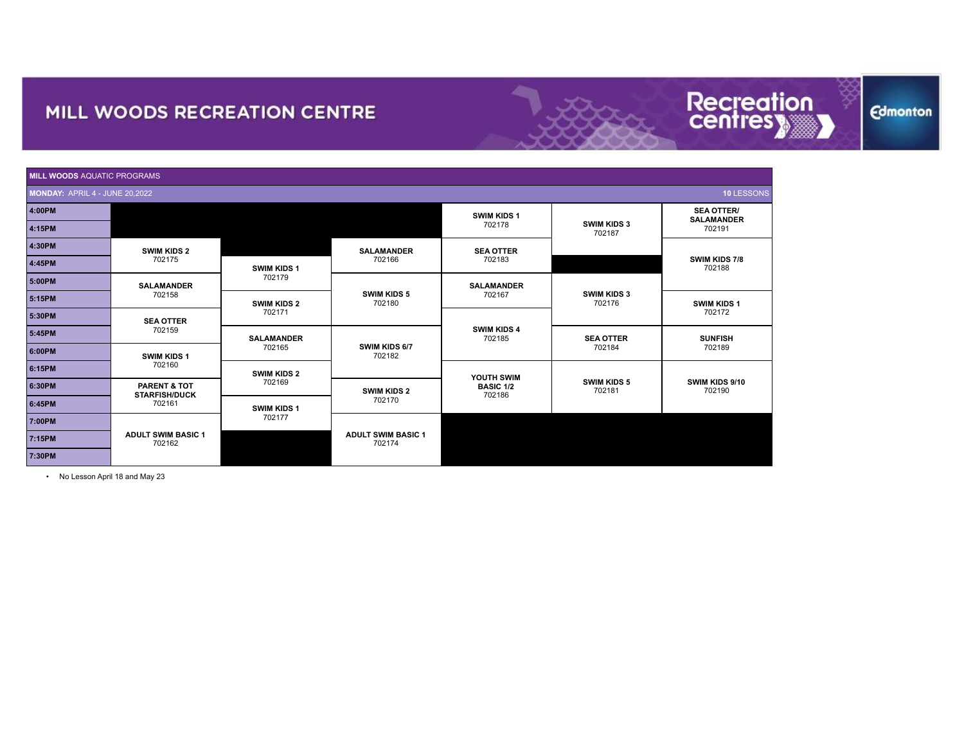|                                       | <b>MILL WOODS AQUATIC PROGRAMS</b>              |                    |                                     |                              |                              |                                        |  |  |
|---------------------------------------|-------------------------------------------------|--------------------|-------------------------------------|------------------------------|------------------------------|----------------------------------------|--|--|
| <b>MONDAY: APRIL 4 - JUNE 20,2022</b> |                                                 |                    |                                     |                              |                              | 10 LESSONS                             |  |  |
| 4:00PM                                |                                                 |                    |                                     | <b>SWIM KIDS 1</b>           |                              | <b>SEA OTTER/</b><br><b>SALAMANDER</b> |  |  |
| 4:15PM                                |                                                 |                    |                                     | 702178                       | <b>SWIM KIDS 3</b><br>702187 | 702191                                 |  |  |
| 4:30PM                                | <b>SWIM KIDS 2</b>                              |                    | <b>SALAMANDER</b>                   | <b>SEA OTTER</b>             |                              |                                        |  |  |
| 4:45PM                                | 702175                                          | <b>SWIM KIDS 1</b> | 702166                              | 702183                       |                              | <b>SWIM KIDS 7/8</b><br>702188         |  |  |
| 5:00PM                                | <b>SALAMANDER</b>                               | 702179             |                                     | <b>SALAMANDER</b>            |                              |                                        |  |  |
| 5:15PM                                | 702158                                          | <b>SWIM KIDS 2</b> | <b>SWIM KIDS 5</b><br>702180        | 702167                       | <b>SWIM KIDS 3</b><br>702176 | <b>SWIM KIDS 1</b>                     |  |  |
| 5:30PM                                | <b>SEA OTTER</b>                                | 702171             |                                     | <b>SWIM KIDS 4</b><br>702185 |                              | 702172                                 |  |  |
| 5:45PM                                | 702159                                          | <b>SALAMANDER</b>  | SWIM KIDS 6/7<br>702182             |                              | <b>SEA OTTER</b>             | <b>SUNFISH</b>                         |  |  |
| 6:00PM                                | <b>SWIM KIDS 1</b>                              | 702165             |                                     |                              | 702184                       | 702189                                 |  |  |
| 6:15PM                                | 702160                                          | <b>SWIM KIDS 2</b> |                                     | YOUTH SWIM                   |                              |                                        |  |  |
| 6:30PM                                | <b>PARENT &amp; TOT</b><br><b>STARFISH/DUCK</b> | 702169             | <b>SWIM KIDS 2</b>                  | <b>BASIC 1/2</b><br>702186   | <b>SWIM KIDS 5</b><br>702181 | SWIM KIDS 9/10<br>702190               |  |  |
| 6:45PM                                | 702161                                          | <b>SWIM KIDS 1</b> | 702170                              |                              |                              |                                        |  |  |
| 7:00PM                                |                                                 | 702177             |                                     |                              |                              |                                        |  |  |
| 7:15PM                                | <b>ADULT SWIM BASIC 1</b><br>702162             |                    | <b>ADULT SWIM BASIC 1</b><br>702174 |                              |                              |                                        |  |  |
| 7:30PM                                |                                                 |                    |                                     |                              |                              |                                        |  |  |

Recreation<br>centresy

**Edmonton** 

• No Lesson April 18 and May 23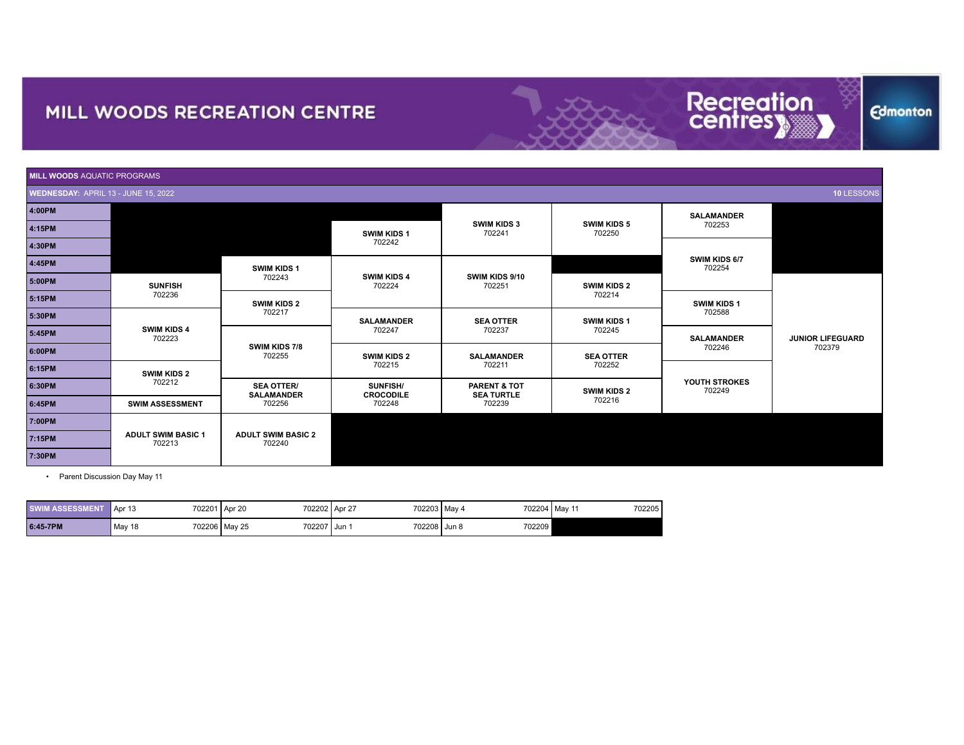| <b>MILL WOODS AQUATIC PROGRAMS</b>  |                                     |                                        |                                     |                                              |                              |                                                             |                         |
|-------------------------------------|-------------------------------------|----------------------------------------|-------------------------------------|----------------------------------------------|------------------------------|-------------------------------------------------------------|-------------------------|
| WEDNESDAY: APRIL 13 - JUNE 15, 2022 |                                     |                                        |                                     |                                              |                              |                                                             | 10 LESSONS              |
| 4:00PM                              |                                     |                                        |                                     |                                              |                              | <b>SALAMANDER</b>                                           |                         |
| 4:15PM                              |                                     |                                        | <b>SWIM KIDS 1</b>                  | <b>SWIM KIDS 3</b><br>702241                 | <b>SWIM KIDS 5</b><br>702250 | 702253                                                      |                         |
| 4:30PM                              |                                     |                                        | 702242                              |                                              |                              |                                                             |                         |
| 4:45PM                              |                                     | <b>SWIM KIDS 1</b>                     |                                     |                                              |                              | SWIM KIDS 6/7<br>702254                                     |                         |
| 5:00PM                              | <b>SUNFISH</b>                      | 702243                                 | <b>SWIM KIDS 4</b><br>702224        | SWIM KIDS 9/10<br>702251                     | <b>SWIM KIDS 2</b>           |                                                             |                         |
| 5:15PM                              | 702236                              | <b>SWIM KIDS 2</b>                     |                                     |                                              | 702214                       | <b>SWIM KIDS 1</b><br>702588<br><b>SALAMANDER</b><br>702246 |                         |
| 5:30PM                              | <b>SWIM KIDS 4</b><br>702223        | 702217                                 | <b>SALAMANDER</b><br>702247         | <b>SEA OTTER</b><br>702237                   | <b>SWIM KIDS 1</b><br>702245 |                                                             |                         |
| 5:45PM                              |                                     |                                        |                                     |                                              |                              |                                                             | <b>JUNIOR LIFEGUARD</b> |
| 6:00PM                              |                                     | SWIM KIDS 7/8<br>702255                | <b>SWIM KIDS 2</b>                  | <b>SALAMANDER</b>                            | <b>SEA OTTER</b>             |                                                             | 702379                  |
| 6:15PM                              | <b>SWIM KIDS 2</b>                  |                                        | 702215                              | 702211                                       | 702252                       |                                                             |                         |
| 6:30PM                              | 702212                              | <b>SEA OTTER/</b><br><b>SALAMANDER</b> | <b>SUNFISH/</b><br><b>CROCODILE</b> | <b>PARENT &amp; TOT</b><br><b>SEA TURTLE</b> | <b>SWIM KIDS 2</b>           | YOUTH STROKES<br>702249                                     |                         |
| 6:45PM                              | <b>SWIM ASSESSMENT</b>              | 702256                                 | 702248                              | 702239                                       | 702216                       |                                                             |                         |
| 7:00PM                              |                                     |                                        |                                     |                                              |                              |                                                             |                         |
| 7:15PM                              | <b>ADULT SWIM BASIC 1</b><br>702213 | <b>ADULT SWIM BASIC 2</b><br>702240    |                                     |                                              |                              |                                                             |                         |
| 7:30PM                              |                                     |                                        |                                     |                                              |                              |                                                             |                         |

• Parent Discussion Day May 11

| <b>SWIM ASSESSN</b> | 702201<br>$\blacksquare$ Apr 10 | Apr 20                  | 702202 Apr 27       | 702203 May 4 | 702204   May 11<br>702205 |
|---------------------|---------------------------------|-------------------------|---------------------|--------------|---------------------------|
| 6:45-7PM            | May 18                          | 702207<br>702206 May 25 | 702208 Jun 8<br>Jun | 702209       |                           |

**Edmonton** 

Recreation<br>centres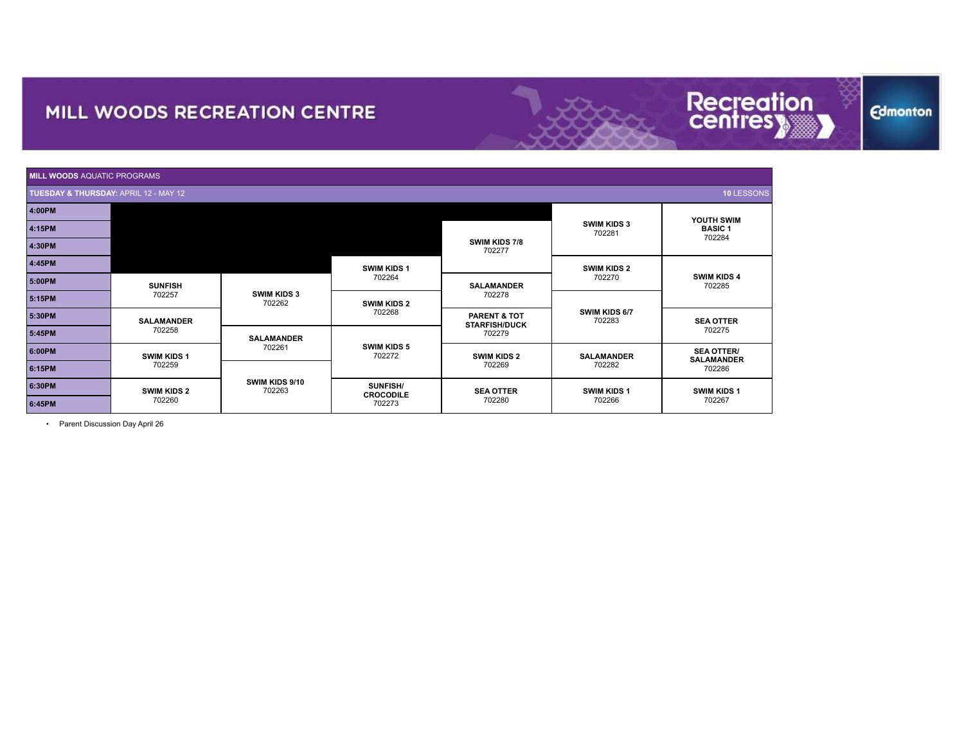

**Edmonton** 

| <b>MILL WOODS AQUATIC PROGRAMS</b>                  |                              |                              |                                     |                                                           |                              |                                        |  |
|-----------------------------------------------------|------------------------------|------------------------------|-------------------------------------|-----------------------------------------------------------|------------------------------|----------------------------------------|--|
| 10 LESSONS<br>TUESDAY & THURSDAY: APRIL 12 - MAY 12 |                              |                              |                                     |                                                           |                              |                                        |  |
| 4:00PM                                              |                              |                              |                                     |                                                           |                              | YOUTH SWIM                             |  |
| 4:15PM                                              |                              |                              |                                     |                                                           | <b>SWIM KIDS 3</b><br>702281 | <b>BASIC1</b><br>702284                |  |
| 4:30PM                                              |                              |                              |                                     | <b>SWIM KIDS 7/8</b><br>702277                            |                              |                                        |  |
| 4:45PM                                              |                              |                              | <b>SWIM KIDS 1</b>                  |                                                           | <b>SWIM KIDS 2</b>           |                                        |  |
| 5:00PM                                              | <b>SUNFISH</b><br>702257     | <b>SWIM KIDS 3</b><br>702262 | 702264                              | <b>SALAMANDER</b>                                         | 702270                       | <b>SWIM KIDS 4</b><br>702285           |  |
| 5:15PM                                              |                              |                              | <b>SWIM KIDS 2</b>                  | 702278                                                    | SWIM KIDS 6/7<br>702283      |                                        |  |
| 5:30PM                                              | <b>SALAMANDER</b>            |                              | 702268                              | <b>PARENT &amp; TOT</b><br><b>STARFISH/DUCK</b><br>702279 |                              | <b>SEA OTTER</b><br>702275             |  |
| 5:45PM                                              | 702258                       | <b>SALAMANDER</b>            |                                     |                                                           |                              |                                        |  |
| 6:00PM                                              | <b>SWIM KIDS 1</b><br>702259 | 702261                       | <b>SWIM KIDS 5</b><br>702272        | <b>SWIM KIDS 2</b>                                        | <b>SALAMANDER</b>            | <b>SEA OTTER/</b><br><b>SALAMANDER</b> |  |
| 6:15PM                                              |                              |                              |                                     | 702269                                                    | 702282                       | 702286                                 |  |
| 6:30PM                                              | <b>SWIM KIDS 2</b>           | SWIM KIDS 9/10<br>702263     | <b>SUNFISH/</b><br><b>CROCODILE</b> | <b>SEA OTTER</b>                                          | <b>SWIM KIDS 1</b>           | SWIM KIDS 1                            |  |
| 6:45PM                                              | 702260                       |                              | 702273                              | 702280                                                    | 702266                       | 702267                                 |  |

• Parent Discussion Day April 26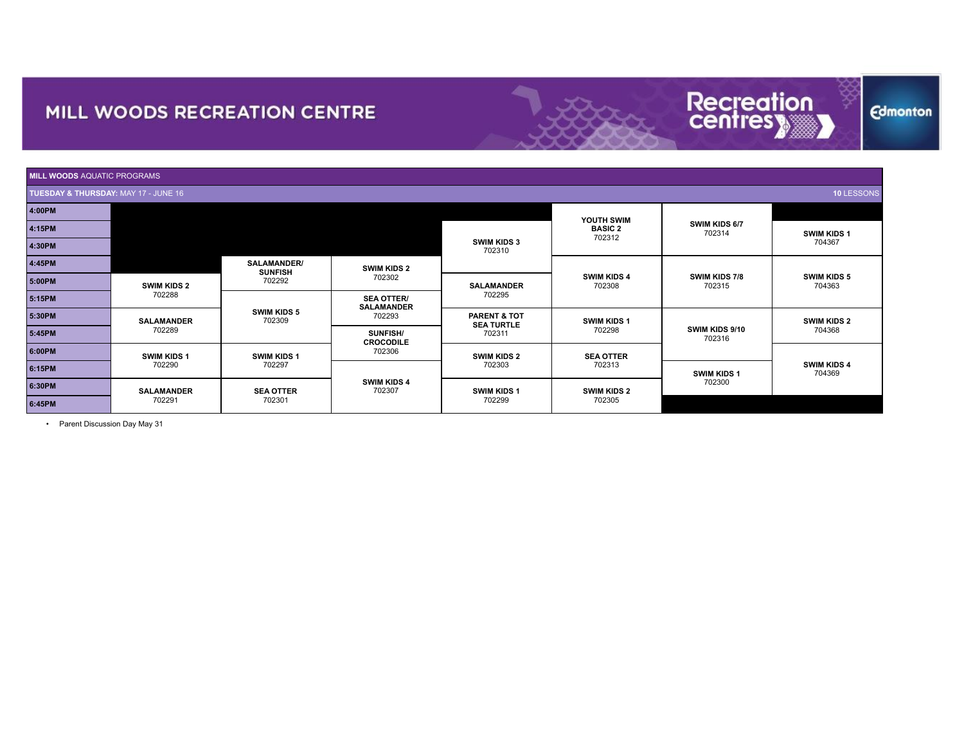

| <b>MILL WOODS AQUATIC PROGRAMS</b>   |                    |                               |                                        |                                                                                        |                              |                                |                              |  |
|--------------------------------------|--------------------|-------------------------------|----------------------------------------|----------------------------------------------------------------------------------------|------------------------------|--------------------------------|------------------------------|--|
| TUESDAY & THURSDAY: MAY 17 - JUNE 16 |                    |                               |                                        |                                                                                        |                              |                                | 10 LESSONS                   |  |
| 4:00PM                               |                    |                               |                                        |                                                                                        | YOUTH SWIM                   |                                |                              |  |
| 4:15PM                               |                    |                               |                                        |                                                                                        | <b>BASIC 2</b>               | SWIM KIDS 6/7<br>702314        | <b>SWIM KIDS 1</b>           |  |
| 4:30PM                               |                    |                               | <b>SWIM KIDS 3</b><br>702310           |                                                                                        | 702312                       |                                | 704367                       |  |
| 4:45PM                               |                    | SALAMANDER/<br><b>SUNFISH</b> | <b>SWIM KIDS 2</b><br>702302           |                                                                                        | <b>SWIM KIDS 4</b><br>702308 | <b>SWIM KIDS 7/8</b><br>702315 | <b>SWIM KIDS 5</b><br>704363 |  |
| 5:00PM                               | <b>SWIM KIDS 2</b> | 702292                        |                                        | <b>SALAMANDER</b>                                                                      |                              |                                |                              |  |
| 5:15PM                               | 702288             |                               | <b>SEA OTTER/</b><br><b>SALAMANDER</b> | 702295                                                                                 |                              |                                |                              |  |
| 5:30PM                               | <b>SALAMANDER</b>  | <b>SWIM KIDS 5</b><br>702309  | 702293                                 | <b>PARENT &amp; TOT</b><br><b>SWIM KIDS 1</b><br><b>SEA TURTLE</b><br>702298<br>702311 |                              | SWIM KIDS 9/10<br>702316       | <b>SWIM KIDS 2</b><br>704368 |  |
| 5:45PM                               | 702289             |                               | <b>SUNFISH/</b><br><b>CROCODILE</b>    |                                                                                        |                              |                                |                              |  |
| 6:00PM                               | <b>SWIM KIDS 1</b> | <b>SWIM KIDS 1</b>            | 702306                                 | <b>SWIM KIDS 2</b>                                                                     | <b>SEA OTTER</b>             |                                |                              |  |
| 6:15PM                               | 702290             | 702297                        | <b>SWIM KIDS 4</b><br>702307           | 702303                                                                                 | 702313                       | <b>SWIM KIDS 1</b><br>702300   | <b>SWIM KIDS 4</b><br>704369 |  |
| 6:30PM                               | <b>SALAMANDER</b>  | <b>SEA OTTER</b>              |                                        | <b>SWIM KIDS 1</b>                                                                     | <b>SWIM KIDS 2</b><br>702305 |                                |                              |  |
| 6:45PM                               | 702291             | 702301                        |                                        | 702299                                                                                 |                              |                                |                              |  |

• Parent Discussion Day May 31

**Edmonton**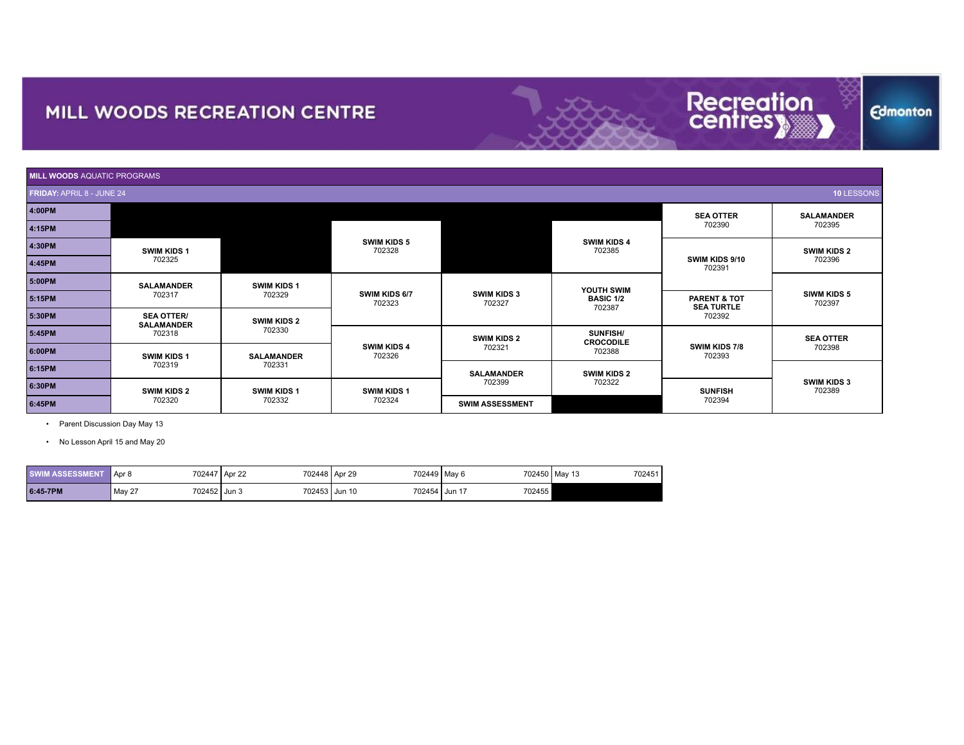

**Edmonton** 

**SUNFISH**<br>702394

**MILL WOODS** AQUATIC PROGRAMS **FRIDAY:** APRIL 8 - JUNE 24 **10** LESSONS **4:00PM N/A SEA OTTER** 702390 **SALAMANDER** <sup>702395</sup> **4:15PM SWIM KIDS 5** 702328 **SWIM KIDS 4**<br>702385 <sup>702385</sup> **4:30PM SWIM KIDS 1** <sup>702325</sup> **N/A SWIM KIDS 9/10** 702391 **SWIM KIDS 2** <sup>702396</sup> **4:45PM 5:00PM SALAMANDER** 702317 **SWIM KIDS 1**<br>702329 702329 **SWIM KIDS 6/7** 702323 **SWIM KIDS 3** 702327 **YOUTH SWIM BASIC 1/2** 702387 **SIWM KIDS 5**<br>702397 <sup>702397</sup> **5:15PM PARENT & TOT SEA TURTLE**<br>702392 **5:30PM SEA OTTER/** 702392 **SALAMANDER** 702318 <sup>702330</sup> **5:45PM SWIM KIDS 2**<br>702330 **SWIM KIDS 4** 702326 **SWIM KIDS 2** 702321 **SUNFISH/ CROCODILE SWIM KIDS 7/8** 702393 **SEA OTTER**<br>702398 <sup>702398</sup> **6:00PM SWIM KIDS 1** 702319 **SALAMANDER**<br>702331 <sup>702331</sup> **6:15PM SALAMANDER** 702399 **SWIM KIDS 2**<br>702322 **SWIM KIDS 3**<br>702389

<sup>702389</sup> **6:30PM SWIM KIDS 2**

**SWIM KIDS 1** 702324

<sup>702394</sup> **6:45PM SWIM ASSESSMENT N/A**

• Parent Discussion Day May 13

• No Lesson April 15 and May 20

702320

| <b>SWIM ASSESSMENT</b> | 702447<br>Apr 8        | 702448 Apr 29<br>Apr 22 | 702449   May 6 |                    | 702450 May 13<br>702451 |
|------------------------|------------------------|-------------------------|----------------|--------------------|-------------------------|
| 6:45-7PM               | May 27<br>702452 Jun 3 | 702453 Jun 10           | 702454         | 702455<br>. Jun 17 |                         |

**SWIM KIDS 1** 702332